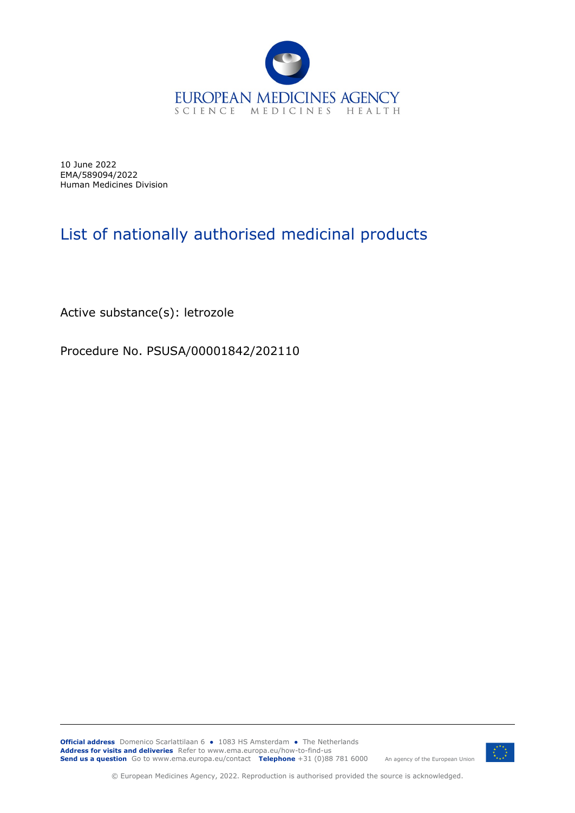

10 June 2022 EMA/589094/2022 Human Medicines Division

## List of nationally authorised medicinal products

Active substance(s): letrozole

Procedure No. PSUSA/00001842/202110

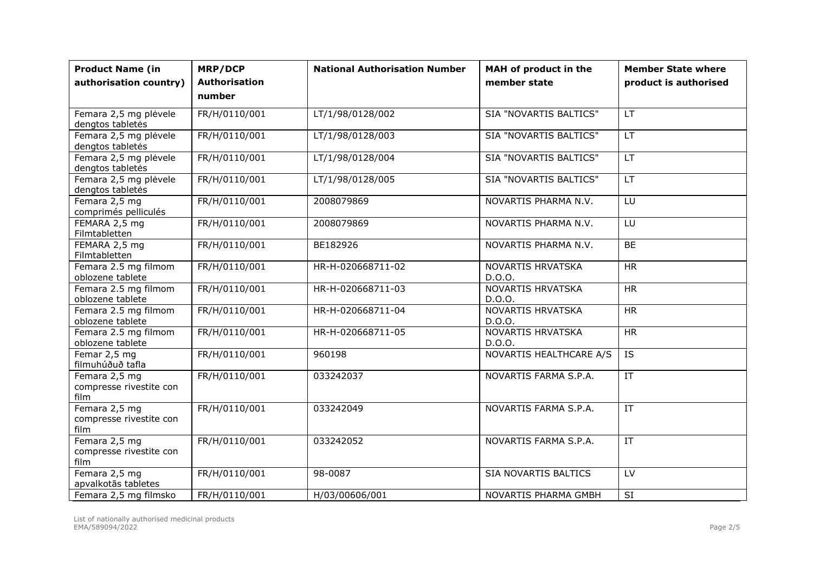| <b>Product Name (in</b>                          | <b>MRP/DCP</b>                 | <b>National Authorisation Number</b> | MAH of product in the       | <b>Member State where</b> |
|--------------------------------------------------|--------------------------------|--------------------------------------|-----------------------------|---------------------------|
| authorisation country)                           | <b>Authorisation</b><br>number |                                      | member state                | product is authorised     |
|                                                  |                                |                                      |                             |                           |
| Femara 2,5 mg plėvele<br>dengtos tabletės        | FR/H/0110/001                  | LT/1/98/0128/002                     | SIA "NOVARTIS BALTICS"      | <b>LT</b>                 |
| Femara 2,5 mg plėvele<br>dengtos tabletės        | FR/H/0110/001                  | LT/1/98/0128/003                     | SIA "NOVARTIS BALTICS"      | <b>LT</b>                 |
| Femara 2,5 mg plėvele<br>dengtos tabletės        | FR/H/0110/001                  | LT/1/98/0128/004                     | SIA "NOVARTIS BALTICS"      | <b>LT</b>                 |
| Femara 2,5 mg plėvele<br>dengtos tabletės        | FR/H/0110/001                  | LT/1/98/0128/005                     | SIA "NOVARTIS BALTICS"      | <b>LT</b>                 |
| Femara 2,5 mg<br>comprimés pelliculés            | FR/H/0110/001                  | 2008079869                           | NOVARTIS PHARMA N.V.        | LU                        |
| FEMARA 2,5 mg<br>Filmtabletten                   | FR/H/0110/001                  | 2008079869                           | NOVARTIS PHARMA N.V.        | LU                        |
| FEMARA 2,5 mg<br>Filmtabletten                   | FR/H/0110/001                  | BE182926                             | NOVARTIS PHARMA N.V.        | <b>BE</b>                 |
| Femara 2.5 mg filmom<br>oblozene tablete         | FR/H/0110/001                  | HR-H-020668711-02                    | NOVARTIS HRVATSKA<br>D.O.O. | <b>HR</b>                 |
| Femara 2.5 mg filmom<br>oblozene tablete         | FR/H/0110/001                  | HR-H-020668711-03                    | NOVARTIS HRVATSKA<br>D.O.O. | <b>HR</b>                 |
| Femara 2.5 mg filmom<br>oblozene tablete         | FR/H/0110/001                  | HR-H-020668711-04                    | NOVARTIS HRVATSKA<br>D.O.O. | <b>HR</b>                 |
| Femara 2.5 mg filmom<br>oblozene tablete         | FR/H/0110/001                  | HR-H-020668711-05                    | NOVARTIS HRVATSKA<br>D.O.O. | <b>HR</b>                 |
| Femar 2,5 mg<br>filmuhúðuð tafla                 | FR/H/0110/001                  | 960198                               | NOVARTIS HEALTHCARE A/S     | $\overline{IS}$           |
| Femara 2,5 mg<br>compresse rivestite con<br>film | FR/H/0110/001                  | 033242037                            | NOVARTIS FARMA S.P.A.       | IT                        |
| Femara 2,5 mg<br>compresse rivestite con<br>film | FR/H/0110/001                  | 033242049                            | NOVARTIS FARMA S.P.A.       | IT                        |
| Femara 2,5 mg<br>compresse rivestite con<br>film | FR/H/0110/001                  | 033242052                            | NOVARTIS FARMA S.P.A.       | $\overline{\text{IT}}$    |
| Femara 2,5 mg<br>apvalkotās tabletes             | FR/H/0110/001                  | 98-0087                              | SIA NOVARTIS BALTICS        | LV                        |
| Femara 2,5 mg filmsko                            | FR/H/0110/001                  | H/03/00606/001                       | NOVARTIS PHARMA GMBH        | <b>SI</b>                 |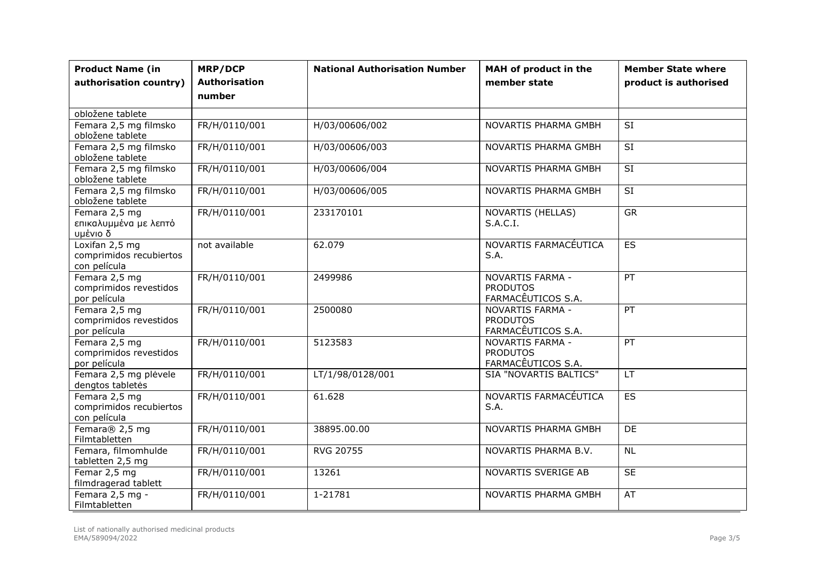| <b>Product Name (in</b><br>authorisation country)         | <b>MRP/DCP</b><br><b>Authorisation</b><br>number | <b>National Authorisation Number</b> | MAH of product in the<br>member state                     | <b>Member State where</b><br>product is authorised |
|-----------------------------------------------------------|--------------------------------------------------|--------------------------------------|-----------------------------------------------------------|----------------------------------------------------|
| obložene tablete                                          |                                                  |                                      |                                                           |                                                    |
| Femara 2,5 mg filmsko<br>obložene tablete                 | FR/H/0110/001                                    | H/03/00606/002                       | NOVARTIS PHARMA GMBH                                      | <b>SI</b>                                          |
| Femara 2,5 mg filmsko<br>obložene tablete                 | FR/H/0110/001                                    | H/03/00606/003                       | NOVARTIS PHARMA GMBH                                      | SI                                                 |
| Femara 2,5 mg filmsko<br>obložene tablete                 | FR/H/0110/001                                    | H/03/00606/004                       | NOVARTIS PHARMA GMBH                                      | $\overline{SI}$                                    |
| Femara 2,5 mg filmsko<br>obložene tablete                 | FR/H/0110/001                                    | H/03/00606/005                       | NOVARTIS PHARMA GMBH                                      | $\overline{SI}$                                    |
| Femara 2,5 mg<br>επικαλυμμένα με λεπτό<br>υμένιο δ        | FR/H/0110/001                                    | 233170101                            | NOVARTIS (HELLAS)<br>S.A.C.I.                             | <b>GR</b>                                          |
| Loxifan 2,5 mg<br>comprimidos recubiertos<br>con película | not available                                    | 62.079                               | NOVARTIS FARMACÉUTICA<br>S.A.                             | ES                                                 |
| Femara 2,5 mg<br>comprimidos revestidos<br>por película   | FR/H/0110/001                                    | 2499986                              | NOVARTIS FARMA -<br><b>PRODUTOS</b><br>FARMACÊUTICOS S.A. | PT                                                 |
| Femara 2,5 mg<br>comprimidos revestidos<br>por película   | FR/H/0110/001                                    | 2500080                              | NOVARTIS FARMA -<br><b>PRODUTOS</b><br>FARMACÊUTICOS S.A. | PT                                                 |
| Femara 2,5 mg<br>comprimidos revestidos<br>por película   | FR/H/0110/001                                    | 5123583                              | NOVARTIS FARMA -<br><b>PRODUTOS</b><br>FARMACÊUTICOS S.A. | PT                                                 |
| Femara 2,5 mg plėvele<br>dengtos tabletės                 | FR/H/0110/001                                    | LT/1/98/0128/001                     | SIA "NOVARTIS BALTICS"                                    | LT                                                 |
| Femara 2,5 mg<br>comprimidos recubiertos<br>con película  | FR/H/0110/001                                    | 61.628                               | NOVARTIS FARMACÉUTICA<br>S.A.                             | $\overline{ES}$                                    |
| Femara® 2,5 mg<br>Filmtabletten                           | FR/H/0110/001                                    | 38895.00.00                          | NOVARTIS PHARMA GMBH                                      | <b>DE</b>                                          |
| Femara, filmomhulde<br>tabletten 2,5 mg                   | FR/H/0110/001                                    | <b>RVG 20755</b>                     | NOVARTIS PHARMA B.V.                                      | <b>NL</b>                                          |
| Femar 2,5 mg<br>filmdragerad tablett                      | FR/H/0110/001                                    | 13261                                | NOVARTIS SVERIGE AB                                       | <b>SE</b>                                          |
| Femara 2,5 mg -<br>Filmtabletten                          | FR/H/0110/001                                    | 1-21781                              | NOVARTIS PHARMA GMBH                                      | AT                                                 |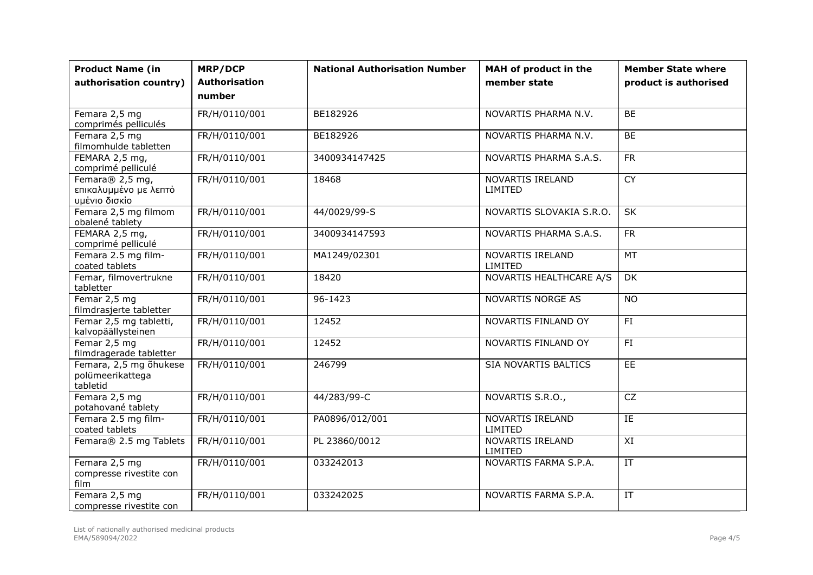| <b>Product Name (in</b><br>authorisation country)         | <b>MRP/DCP</b><br><b>Authorisation</b> | <b>National Authorisation Number</b> | MAH of product in the<br>member state | <b>Member State where</b><br>product is authorised |
|-----------------------------------------------------------|----------------------------------------|--------------------------------------|---------------------------------------|----------------------------------------------------|
|                                                           | number                                 |                                      |                                       |                                                    |
| Femara 2,5 mg<br>comprimés pelliculés                     | FR/H/0110/001                          | BE182926                             | NOVARTIS PHARMA N.V.                  | BE                                                 |
| Femara 2,5 mg<br>filmomhulde tabletten                    | FR/H/0110/001                          | BE182926                             | NOVARTIS PHARMA N.V.                  | BE                                                 |
| FEMARA 2,5 mg,<br>comprimé pelliculé                      | FR/H/0110/001                          | 3400934147425                        | NOVARTIS PHARMA S.A.S.                | <b>FR</b>                                          |
| Femara® 2,5 mg,<br>επικαλυμμένο με λεπτό<br>υμένιο δισκίο | FR/H/0110/001                          | 18468                                | NOVARTIS IRELAND<br>LIMITED           | $\overline{CY}$                                    |
| Femara 2,5 mg filmom<br>obalené tablety                   | FR/H/0110/001                          | 44/0029/99-S                         | NOVARTIS SLOVAKIA S.R.O.              | SK                                                 |
| FEMARA 2,5 mg,<br>comprimé pelliculé                      | FR/H/0110/001                          | 3400934147593                        | NOVARTIS PHARMA S.A.S.                | FR                                                 |
| Femara 2.5 mg film-<br>coated tablets                     | FR/H/0110/001                          | MA1249/02301                         | NOVARTIS IRELAND<br>LIMITED           | MT                                                 |
| Femar, filmovertrukne<br>tabletter                        | FR/H/0110/001                          | 18420                                | NOVARTIS HEALTHCARE A/S               | <b>DK</b>                                          |
| Femar 2,5 mg<br>filmdrasjerte tabletter                   | FR/H/0110/001                          | $96 - 1423$                          | <b>NOVARTIS NORGE AS</b>              | $\overline{NO}$                                    |
| Femar 2,5 mg tabletti,<br>kalvopäällysteinen              | FR/H/0110/001                          | 12452                                | NOVARTIS FINLAND OY                   | FI                                                 |
| Femar 2,5 mg<br>filmdragerade tabletter                   | FR/H/0110/001                          | 12452                                | NOVARTIS FINLAND OY                   | FI                                                 |
| Femara, 2,5 mg õhukese<br>polümeerikattega<br>tabletid    | FR/H/0110/001                          | 246799                               | SIA NOVARTIS BALTICS                  | <b>EE</b>                                          |
| Femara 2,5 mg<br>potahované tablety                       | FR/H/0110/001                          | 44/283/99-C                          | NOVARTIS S.R.O.,                      | $\overline{CZ}$                                    |
| Femara 2.5 mg film-<br>coated tablets                     | FR/H/0110/001                          | PA0896/012/001                       | NOVARTIS IRELAND<br>LIMITED           | E                                                  |
| Femara® 2.5 mg Tablets                                    | FR/H/0110/001                          | PL 23860/0012                        | NOVARTIS IRELAND<br>LIMITED           | $\boldsymbol{\mathsf{XI}}$                         |
| Femara 2,5 mg<br>compresse rivestite con<br>film          | FR/H/0110/001                          | 033242013                            | NOVARTIS FARMA S.P.A.                 | IT                                                 |
| Femara 2,5 mg<br>compresse rivestite con                  | FR/H/0110/001                          | 033242025                            | NOVARTIS FARMA S.P.A.                 | IT                                                 |